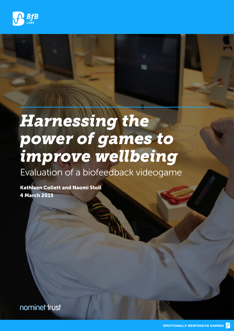

# *Harnessing the power of games to improve wellbeing*

Evaluation of a biofeedback videogame

Kathleen Collett and Naomi Stoll 4 March 2015

nominettrust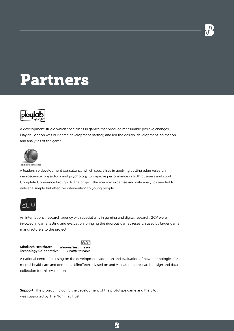

# Partners



A development studio which specialises in games that produce measurable positive changes. Playlab London was our game development partner, and led the design, development, animation and analytics of the game.



A leadership development consultancy which specialises in applying cutting edge research in neuroscience, physiology and psychology to improve performance in both business and sport. Complete Coherence brought to the project the medical expertise and data analytics needed to deliver a simple but effective intervention to young people.



An international research agency with specialisms in gaming and digital research. 2CV were involved in game testing and evaluation, bringing the rigorous games research used by larger game manufacturers to the project.

|                                | <b>NHS</b>                    |
|--------------------------------|-------------------------------|
| <b>MindTech Healthcare</b>     | <b>National Institute for</b> |
| <b>Technology Co-operative</b> | <b>Health Research</b>        |

A national centre focussing on the development, adoption and evaluation of new technologies for mental healthcare and dementia. MindTech advised on and validated the research design and data collection for this evaluation.

Support: The project, including the development of the prototype game and the pilot, was supported by The Nominet Trust

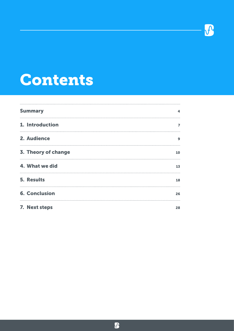

# Contents

| <b>Summary</b>       | 4  |
|----------------------|----|
| 1. Introduction      | 7  |
| 2. Audience          | 9  |
| 3. Theory of change  | 10 |
| 4. What we did       | 13 |
| <b>5. Results</b>    | 18 |
| <b>6. Conclusion</b> | 26 |
| 7. Next steps        | 28 |

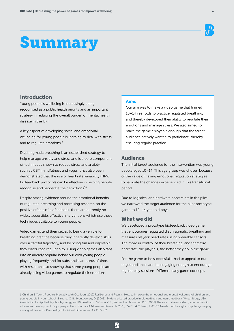# Summary

# Introduction

Young people's wellbeing is increasingly being recognised as a public health priority and an important strategy in reducing the overall burden of mental health disease in the UK.1

A key aspect of developing social and emotional wellbeing for young people is learning to deal with stress, and to regulate emotions.<sup>2</sup>

Diaphragmatic breathing is an established strategy to help manage anxiety and stress and is a core component of techniques shown to reduce stress and anxiety, such as CBT, mindfulness and yoga. It has also been demonstrated that the use of heart rate variability (HRV) biofeedback protocols can be effective in helping people recognise and moderate their emotions<sup>3,4</sup>.

Despite strong evidence around the emotional benefits of regulated breathing and promising research on the positive effects of biofeedback, there are currently no widely accessible, effective interventions which use these techniques available to young people.

Video games lend themselves to being a vehicle for breathing practice because they inherently develop skills over a careful trajectory, and by being fun and enjoyable they encourage regular play. Using video games also taps into an already popular behaviour with young people playing frequently and for substantial amounts of time, with research also showing that some young people are already using video games to regulate their emotions.

# Aims

Our aim was to make a video game that trained 10–14 year olds to practice regulated breathing, and thereby developed their ability to regulate their emotions and manage stress. We also aimed to make the game enjoyable enough that the target audience actively wanted to participate, thereby ensuring regular practice.

## Audience

The initial target audience for the intervention was young people aged 10–14. This age group was chosen because of the value of having emotional regulation strategies to navigate the changes experienced in this transitional period.

Due to logistical and hardware constraints in the pilot we narrowed the target audience for the pilot prototype game to 10–14 year old boys.

### What we did

We developed a prototype biofeedback video game that encourages regulated diaphragmatic breathing and measures players' heart rates using wearable sensors. The more in control of their breathing, and therefore heart rate, the player is, the better they do in the game.

For the game to be successful it had to appeal to our target audience, and be engaging enough to encourage regular play sessions. Different early game concepts

 $\mathbf{R}$ 

<sup>1</sup> Children & Young People's Mental Health Coalition (2012) Resilience and Results: How to improve the emotional and mental wellbeing of children and young people in your school 2 Yucha, C. B., Montgomery, D. (2008). Evidence-based practice in biofeedback and neurofeedback. Wheat Ridge, USA: Association for Applied Psychophysiology and Biofeedback. 3 Olson, C.K., Kutner, L.A., & Warner, D.E. (2008) The role of violent video game content in adolescent development: Boys' perspectives. Journal of Adolescent Research, 23(1), 55-75. 4 Colwell, J. (2007) Needs met through computer game play among adolescents. Personality & Individual Differences, 43, 2072-82.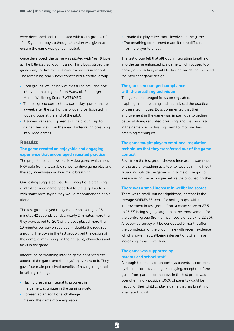were developed and user-tested with focus groups of 12–13 year old boys, although attention was given to ensure the game was gender neutral.

Once developed, the game was piloted with Year 9 boys at The Billericay School in Essex. Thirty boys played the game daily for five minutes over five weeks in school. The remaining Year 9 boys constituted a control group.

- Both groups' wellbeing was measured pre- and postintervention using the Short Warwick-Edinburgh Mental Wellbeing Scale (SWEMWBS).
- The test group completed a gameplay questionnaire a week after the start of the pilot and participated in focus groups at the end of the pilot.
- A survey was sent to parents of the pilot group to gather their views on the idea of integrating breathing into video games.

#### Results

## The game created an enjoyable and engaging experience that encouraged repeated practice

The project created a workable video game which uses HRV data from a wearable sensor to drive game play and thereby incentivise diaphragmatic breathing.

Our testing suggested that the concept of a breathingcontrolled video game appealed to the target audience, with many boys saying they would recommended it to a friend.

The test group played the game for an average of 6 minutes 42 seconds per day, nearly 2 minutes more than they were asked to. 20% of the boys played more than 10 minutes per day on average — double the required amount. The boys in the test group liked the design of the game, commenting on the narrative, characters and tasks in the game.

Integration of breathing into the game enhanced the appeal of the game and the boys' enjoyment of it. They gave four main perceived benefits of having integrated breathing in the game :

- Having breathing integral to progress in the game was unique in the gaming world
- It presented an additional challenge, making the game more enjoyable
- It made the player feel more involved in the game
- The breathing component made it more difficult for the player to cheat.

The test group felt that although integrating breathing into the game enhanced it, a game which focused too heavily on breathing would be boring, validating the need for intelligent game design.

### The game encouraged compliance with the breathing technique

The game encouraged focus on regulated, diaphragmatic breathing and incentivised the practice of these techniques. Boys commented that their improvement in the game was, in part, due to getting better at doing regulated breathing, and that progress in the game was motivating them to improve their breathing techniques.

# The game taught players emotional regulation techniques that they transferred out of the game context

Boys from the test group showed increased awareness of the use of breathing as a tool to keep calm in difficult situations outside the game, with some of the group already using the technique before the pilot had finished.

#### There was a small increase in wellbeing scores

There was a small, but not significant, increase in the average SWEMWBS score for both groups, with the improvement in test group (from a mean score of 23.5 to 23.77) being slightly larger than the improvement for the control group (from a mean score of 22.67 to 22.90). A follow-up survey will be conducted 6 months after the completion of the pilot, in line with recent evidence which shows that wellbeing interventions often have increasing impact over time.

## The game was supported by parents and school staff

 $\mathcal{P}$ 

Although the media often portrays parents as concerned by their children's video game playing, reception of the game from parents of the boys in the test group was overwhelmingly positive. 100% of parents would be happy for their child to play a game that has breathing integrated into it.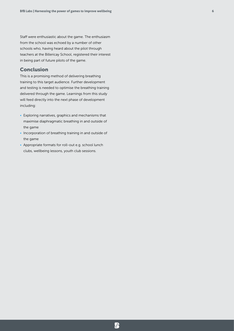Staff were enthusiastic about the game. The enthusiasm from the school was echoed by a number of other schools who, having heard about the pilot through teachers at the Billericay School, registered their interest in being part of future pilots of the game.

# Conclusion

This is a promising method of delivering breathing training to this target audience. Further development and testing is needed to optimise the breathing training delivered through the game. Learnings from this study will feed directly into the next phase of development including:

- Exploring narratives, graphics and mechanisms that maximise diaphragmatic breathing in and outside of the game
- Incorporation of breathing training in and outside of the game
- Appropriate formats for roll-out e.g. school lunch clubs, wellbeing lessons, youth club sessions.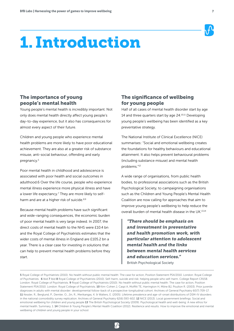

# 1. Introduction

# The importance of young people's mental health

Young people's mental health is incredibly important. Not only does mental health directly affect young people's day-to-day experience, but it also has consequences for almost every aspect of their future.

Children and young people who experience mental health problems are more likely to have poor educational achievement. They are also at a greater risk of substance misuse, anti-social behaviour, offending and early pregnancy.<sup>5</sup>

Poor mental health in childhood and adolescence is associated with poor health and social outcomes in adulthood.6 Over the life course, people who experience mental illness experience more physical illness and have a lower life expectancy.<sup>7</sup> They are more likely to selfharm and are at a higher risk of suicide.<sup>8,9</sup>

Because mental health problems have such significant and wide-ranging consequences, the economic burden of poor mental health is very large indeed. In 2007, the direct costs of mental health to the NHS were £10.4 bn and the Royal College of Psychiatrists estimates that the wider costs of mental illness in England are £105.2 bn a year. There is a clear case for investing in solutions that can help to prevent mental health problems before they start.

# The significance of wellbeing for young people

Half of all cases of mental health disorder start by age 14 and three quarters start by age 24.<sup>10,11</sup> Developing young people's wellbeing has been identified as a key preventative strategy.

The National Institute of Clinical Excellence (NICE) summarises: "Social and emotional wellbeing creates the foundations for healthy behaviours and educational attainment. It also helps prevent behavioural problems (including substance misuse) and mental health problems."12

A wide range of organisations, from public health bodies, to professional associations such as the British Psychological Society, to campaigning organisations such as the Children and Young People's Mental Health Coalition are now calling for approaches that aim to improve young people's wellbeing to help reduce the overall burden of mental health disease in the UK.13,14

*"There should be emphasis on and investment in preventative and health promotion work, with particular attention to adolescent mental health and the links between mental health services and education services."* British Psychological Society

<sup>5</sup> Royal College of Psychiatrists (2010). No health without public mental health: The case for action, Position Statement PS4/2010. London: Royal College of Psychiatrists. 6 Ibid 7 Ibid 8 Royal College of Psychiatrists (2010). Self-harm, suicide and risk: helping people who self-harm. College Report CR158. London: Royal College of Psychiatrists. 9 Royal College of Psychiatrists (2010). No health without public mental health: The case for action, Position Statement PS4/2010. London: Royal College of Psychiatrists. 10 Kim-Cohen J, Caspi A, Moffitt TE, Harrington H, Milne BJ, Poulton R. (2003). Prior juvenile diagnoses in adults with mental disorder: developmental follow-back of a prospective-longitudinal cohort. Archives of General Psychiatry 60(7):709-17. 11 Kessler, R., Berglund, P., Demler, O., Jin, R., Merikangas, K. & Walters, E. (2005). Lifetime prevalence and age-of-onset distributions of DSM-IV disorders in the national comorbidity survey replication. Archives of General Psychiatry 62(6):593-602. 12 NICE (2013). Local government briefings: Social and emotional wellbeing for children and young people 13 The British Psychological Society (2009). Psychological health and well-being: A new ethos for mental health. Summary, 1. 14 Children & Young People's Mental Health Coalition (2012). Resilience and results: How to improve the emotional and mental wellbeing of children and young people in your school

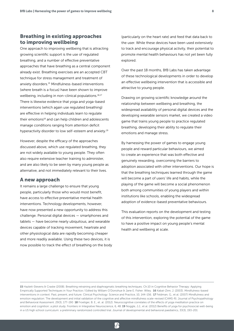# Breathing in existing approaches to improving wellbeing

One approach to improving wellbeing that is attracting growing scientific support is the use of regulated breathing, and a number of effective preventative approaches that have breathing as a central component already exist. Breathing exercises are an accepted CBT technique for stress management and treatment of anxiety disorders.15 Mindfulness-based interventions (where breath is a focus) have been shown to improve wellbeing, including in non-clinical populations.<sup>16,17</sup> There is likewise evidence that yoga and yoga-based interventions (which again use regulated breathing) are effective in helping individuals learn to regulate their emotions<sup>18</sup> and can help children and adolescents manage conditions ranging from attention deficit hyperactivity disorder to low self-esteem and anxiety.19

However, despite the efficacy of the approaches discussed above, which use regulated breathing, they are not widely available to young people. They often also require extensive teacher training to administer, and are also likely to be seen by many young people as alternative, and not immediately relevant to their lives.

### A new approach

It remains a large challenge to ensure that young people, particularly those who would most benefit, have access to effective preventative mental health interventions. Technology developments, however, have now presented a new opportunity to address this challenge. Personal digital devices — smartphones and tablets — have become nearly ubiquitous, and wearable devices capable of tracking movement, heartrate and other physiological data are rapidly becoming cheaper and more readily available. Using these two devices, it is now possible to track the effect of breathing on the body (particularly on the heart rate) and feed that data back to the user. While these devices have been used extensively to track and encourage physical activity, their potential to promote mental health behaviours has not yet been fully explored.

Over the past 18 months, BfB Labs has taken advantage of these technological developments in order to develop an effective wellbeing intervention that is accessible and attractive to young people.

Drawing on growing scientific knowledge around the relationship between wellbeing and breathing, the widespread availability of personal digital devices and the developing wearable sensors market, we created a video game that trains young people to practice regulated breathing, developing their ability to regulate their emotions and manage stress.

By harnessing the power of games to engage young people and reward particular behaviours, we aimed to create an experience that was both effective and genuinely rewarding, overcoming the barriers to adoption associated with other interventions. Our hope is that the breathing techniques learned through the game will become a part of users' life and habits, while the playing of the game will become a social phenomenon both among communities of young players and within institutions like schools, enabling the widespread adoption of evidence-based preventative behaviours.

This evaluation reports on the development and testing of this intervention, exploring the potential of the game to have a positive impact on young people's mental health and wellbeing at scale.

<sup>15</sup> Hazlett-Stevens & Craske (2008). Breathing retraining and diaphragmatic breathing techniques. Ch.10 in Cognitive Behavior Therapy: Applying Empirically Supported Techniques in Your Practice / Edited by William O'Donohue & Jane E. Fisher. Wiley. 16 Kabat-Zinn, J. (2003). Mindfulness-based interventions in context: Past, present, and future. Clinical Psychology: Science and Practice, 10, 144-156. 17 Feldman, G., et al. (2007) Mindfulness and emotion regulation: The development and initial validation of the cognitive and affective mindfulness scale-revised (CAMS-R). Journal of Psychopathology and Behavioral Assessment. 29(3), 177-190 18 Froeliger, B. E., et. al. (2012). Neurocognitive correlates of the effects of yoga meditation practice on emotion and cognition: a pilot study. Frontiers in Integrative Neuroscience, 6, 48. 19 Noggle, J.J., et al. (2012) Benefits of yoga for psychosocial well-being in a US high school curriculum: a preliminary randomized controlled trial. Journal of developmental and behavioral paediatrics, 33(3), 193-201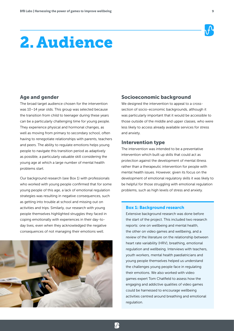# 2. Audience

# Age and gender

The broad target audience chosen for the intervention was 10–14 year olds. This group was selected because the transition from child to teenager during these years can be a particularly challenging time for young people. They experience physical and hormonal changes, as well as moving from primary to secondary school, often having to renegotiate relationships with parents, teachers and peers. The ability to regulate emotions helps young people to navigate this transition period as adaptively as possible, a particularly valuable skill considering the young age at which a large number of mental health problems start.

Our background research (see Box 1) with professionals who worked with young people confirmed that for some young people of this age, a lack of emotional regulation strategies was resulting in negative consequences, such as getting into trouble at school and missing out on activities and trips. Similarly, our research with young people themselves highlighted struggles they faced in coping emotionally with experiences in their day-today lives, even when they acknowledged the negative consequences of not managing their emotions well.



## Socioeconomic background

We designed the intervention to appeal to a crosssection of socio-economic backgrounds, although it was particularly important that it would be accessible to those outside of the middle and upper classes, who were less likely to access already available services for stress and anxiety.

#### Intervention type

The intervention was intended to be a preventative intervention which built up skills that could act as protection against the development of mental illness rather than a therapeutic intervention for people with mental health issues. However, given its focus on the development of emotional regulatory skills it was likely to be helpful for those struggling with emotional regulation problems, such as high levels of stress and anxiety.

#### Box 1: Background research

 $\mathbf{R}$ 

Extensive background research was done before the start of the project. This included two research reports: one on wellbeing and mental health, the other on video games and wellbeing, and a review of the literature on the relationship between heart rate variability (HRV), breathing, emotional regulation and wellbeing. Interviews with teachers, youth workers, mental health paediatricians and young people themselves helped us understand the challenges young people face in regulating their emotions. We also worked with video games expert Tom Chatfield to assess how the engaging and addictive qualities of video games could be harnessed to encourage wellbeing activities centred around breathing and emotional regulation.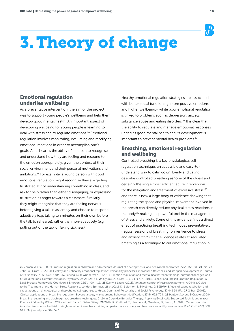

# 3.Theory of change

# Emotional regulation underlies wellbeing

As a preventative intervention, the aim of the project was to support young people's wellbeing and help them develop good mental health. An important aspect of developing wellbeing for young people is learning to deal with stress and to regulate emotions.20 Emotional regulation involves monitoring, evaluating and modifying emotional reactions in order to accomplish one's goals. At its heart is the ability of a person to recognise and understand how they are feeling and respond to the emotion appropriately, given the context of their social environment and their personal motivations and ambitions.21 For example, a young person with good emotional regulation might recognise they are getting frustrated at not understanding something in class, and ask for help rather than either disengaging, or expressing frustration as anger towards a classmate. Similarly, they might recognise that they are feeling nervous before giving a talk in assembly and choose to respond adaptively (e.g. taking ten minutes on their own before the talk to rehearse), rather than non-adaptively (e.g. pulling out of the talk or faking sickness).

Healthy emotional regulation strategies are associated with better social functioning, more positive emotions, and higher wellbeing,<sup>22</sup> while poor emotional regulation is linked to problems such as depression, anxiety, substance abuse and eating disorders.<sup>23</sup> It is clear that the ability to regulate and manage emotional responses underlies good mental health and its development is important to prevent mental health problems.<sup>24</sup>

# Breathing, emotional regulation and wellbeing

Controlled breathing is a key physiological selfregulation technique; an accessible and easy-tounderstand way to calm down. Everly and Lating describe controlled breathing as "one of the oldest and certainly the single most efficient acute intervention for the mitigation and treatment of excessive stress"25 and there is now a large body of evidence showing that regulating the speed and physical movement involved in the breath can directly reduce physical stress reactions in the body, $26$  making it a powerful tool in the management of stress and anxiety. Some of this evidence finds a direct effect of practicing breathing techniques preventatively (regular sessions of breathing) on resilience to stress and anxiety.27,28,29 Other evidence relates to regulated breathing as a technique to aid emotional regulation in

<sup>20</sup> Zeman, J. et al. (2006) Emotion regulation in children and adolescents. Journal of developmental and behavioral paediatrics, 27(2), 155-68. 21 Ibid 22 John, O., Gross, J. (2004). Healthy and unhealthy emotional regulation: Personality processes, individual differences, and life span development in Journal of Personality, 72(6), 1301-1304. 23 Berking, M. & Wupperman, P. (2012). Emotion regulation and mental health: recent findings, current challenges, and future directions. Current Opinion in Psychiatry. 25(2), 128-34. 24 Gyurak, A., Gross, J. J. & Etkin, A. (2011). Explicit and Implicit Emotion Regulation: A Dual-Process Framework. Cognition & Emotion, 25(3), 400-412. 25 Everly & Lating (2013). Voluntary control of respiration patterns. A Clinical Guide to the Treatment of the Human Stress Response. London: Springer. 26 McCaul, K., Solomon, S. & Holmes, D. S (1979). Effects of paced respiration and expectations on physiological and psychological responses to threat. Journal of Personality and Social Psychology, 37(4), 564-571 27 Gilbert (2003). Clinical applications of breathing regulation: Beyond anxiety management. Behaviour Modification, 23(5), 692-709. 28 Hazlett-Stevens & Craske (2008). Breathing retraining and diaphragmatic breathing techniques. Ch.10 in Cognitive Behavior Therapy: Applying Empirically Supported Techniques in Your Practice / Edited by William O'Donohue & Jane E. Fisher. Wiley. 29 Wells, R., Outhred, T., Heathers, J., Quintana, D., Kemp, A. (2012). Matter over mind: A randomised-controlled trial of single-session biofeedback training on performance anxiety and heart rate variability in musicians. PLoS ONE 7(10) DOI: 10.1371/ journal.pone.0046597.

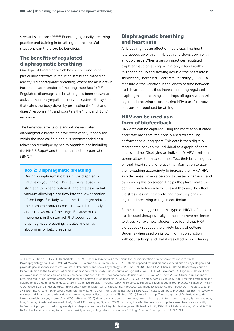stressful situations.<sup>30,31,32,33</sup> Encouraging a daily breathing practice and training in breathing before stressful situations can therefore be beneficial.

# The benefits of regulated diaphragmatic breathing

One type of breathing which has been found to be particularly effective in reducing stress and managing anxiety is diaphragmatic breathing, where the air is drawn into the bottom section of the lungs (see Box 2). $34,35$ Regulated, diaphragmatic breathing has been shown to activate the parasympathetic nervous system, the system that calms the body down by promoting the "rest and digest" response<sup>36, 37</sup>, and counters the "fight and flight" response.

The beneficial effects of stand-alone regulated diaphragmatic breathing have been widely recognised within the medical field and it is recommended as a relaxation technique by health organisations including the NHS<sup>38</sup>, Bupa<sup>39</sup> and the mental health organisation MIND.40

#### Box 2: Diaphragmatic breathing

During a diaphragmatic breath, the diaphragm flattens as you inhale. This flattening causes the stomach to expand outwards and creates a partial vacuum allowing air to flow into the lower section of the lungs. Similarly, when the diaphragm relaxes, the stomach contracts back in towards the body and air flows out of the lungs. Because of the movement in the stomach that accompanies diaphragmatic breathing, it is also known as abdominal or belly breathing.

# Diaphragmatic breathing and heart rate

All breathing has an effect on heart rate. The heart rate speeds up with an in-breath and slows down with an out-breath. When a person practices regulated diaphragmatic breathing, within only a few breaths this speeding up and slowing down of the heart rate is significantly increased. Heart rate variability (HRV) — a measure of the variation in the length of time between each heartbeat — is thus increased during regulated diaphragmatic breathing, and drops off again when this regulated breathing stops, making HRV a useful proxy measure for regulated breathing.

# HRV can be used as a form of biofeedback

HRV data can be captured using the more sophisticated heart rate monitors traditionally used for tracking performance during sport. This data is then digitally represented back to the individual as a graph of heart rate over time. Displaying an individual's HRV levels on a screen allows them to see the effect their breathing has on their heart rate and to use this information to alter their breathing accordingly to increase their HRV. HRV also decreases when a person is stressed or anxious and by showing this on screen it helps the player make the connection between how stressed they are, the effect the stress has on their body, and how they can use regulated breathing to regain equilibrium.

Some studies suggest that this type of HRV biofeedback can be used therapeutically, to help improve resilience to stress. For example, studies have found that HRV biofeedback reduced the anxiety levels of college students when used on its own<sup>41</sup> or in conjunction with counselling<sup>42</sup> and that it was effective in reducing

<sup>30</sup> Harris, V., Katkin, E., Lick, J., Habberfield, T. (1976). Paced respiration as a technique for the modification of autonomic response to stress. Psychophysiology, 13(5), 386-391. 31 McCaul, K., Solomon, S. & Holmes, D. S (1979). Effects of paced respiration and expectations on physiological and psychological responses to threat. Journal of Personality and Social Psychology, 37(4), 564-571 32 Hibbert, GA., Chan, M. (1989). Respiratory control: Its contribution to the treatment of panic attacks. A controlled study. British Journal of Psychiatry, Vol 154(2). 33 Sakakibara, M., Hayano, J. (1996). Effect of slowed respiration on cardiac parasympathetic response to threat. Psychosomatic Medicine, 58(1), 32-37. **34** Gilbert (2003). Clinical applications of breathing regulation: Beyond anxiety management. Behaviour Modification, 23(5), 692-709. 35 Hazlett-Stevens & Craske (2008). Breathing retraining and diaphragmatic breathing techniques. Ch.10 in Cognitive Behavior Therapy: Applying Empirically Supported Techniques in Your Practice / Edited by William O'Donohue & Jane E. Fisher. Wiley. 36 Harvey, J. (1978). Diaphragmatic breathing: A practical technique for breath control. Behaviour Therapist, 1, 13-14. 37 Ballentine, R. (1976). Science of breath. Glenview, IL: Himalayan International Institute 38 NHS (2014) Relaxation tips to prevent stress from http://www. nhs.uk/conditions/stress-anxiety-depression/pages/ways-relieve-stress.aspx 39 Bupa (2014) Stress from http:// www.bupa.co.uk/individuals/healthinformation/directory/s/hi-stress?tab=FAQs 40 Mind (2012) How to manage stress from http://www.mind.org.uk/information- support/tips-for-everydayliving/stress-guide/how-to-relax/#.VFyWj\_SsV0U 41 Henriques, G., et al. (2011). Exploring the effectiveness of a computer-based heart rate variability biofeedback program in reducing anxiety in college students. Applied Psychophysiology and Biofeedback, 36, 101-112. 42 Ratanasiripong, P., et al. (2012). Biofeedback and counseling for stress and anxiety among college students. Journal of College Student Development, 53, 742-749.

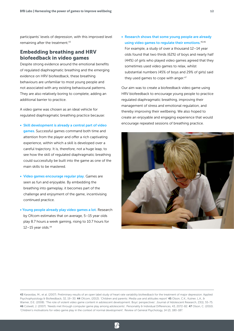participants' levels of depression, with this improved level remaining after the treatment.<sup>43</sup>

# Embedding breathing and HRV biofeedback in video games

Despite strong evidence around the emotional benefits of regulated diaphragmatic breathing and the emerging evidence on HRV biofeedback, these breathing behaviours are unfamiliar to most young people and not associated with any existing behavioural patterns. They are also relatively boring to complete, adding an additional barrier to practice.

A video game was chosen as an ideal vehicle for regulated diaphragmatic breathing practice because:

- Skill development is already a central part of video games. Successful games command both time and attention from the player and offer a rich captivating experience, within which a skill is developed over a careful trajectory. It is, therefore, not a huge leap, to see how the skill of regulated diaphragmatic breathing could successfully be built into the game as one of the main skills to be mastered.
- Video games encourage regular play. Games are seen as fun and enjoyable. By embedding the breathing into gameplay, it becomes part of the challenge and enjoyment of the game, incentivising continued practice.
- Young people already play video games a lot. Research by Ofcom estimates that on average, 5–15 year olds play 8.7 hours a week gaming, rising to 10.7 hours for  $12-15$  year olds. $44$

• Research shows that some young people are already using video games to regulate their emotions. 45,46 For example, a study of over a thousand 12–14 year olds found that two thirds (62%) of boys and nearly half (44%) of girls who played video games agreed that they sometimes used video games to relax, whilst substantial numbers (45% of boys and 29% of girls) said they used games to cope with anger.<sup>47</sup>

Our aim was to create a biofeedback video game using HRV biofeedback to encourage young people to practice regulated diaphragmatic breathing, improving their management of stress and emotional regulation, and thereby improving their wellbeing. We also hoped to create an enjoyable and engaging experience that would encourage repeated sessions of breathing practice.



 $\mathcal{A}$ 

<sup>43</sup> Karavidas, M., et al. (2007). Preliminary results of an open label study of heart rate variability biofeedback for the treatment of major depression. Applied Psychophysiology & Biofeedback, 32, 19-30. 44 Ofcom, (2013). 'Children and parents: Media use and attitudes report' 45 Olson, C.K., Kutner, L.A., & Warner, D.E. (2008). 'The role of violent video game content in adolescent development: Boys' perspectives'. Journal of Adolescent Research, 23(1), 55-75. 46 Colwell, J. (2007). 'Needs met through computer game play among adolescents'. Personality & Individual Differences, 43, 2072-82. 47 Olson, C. (2010). 'Children's motivations for video game play in the context of normal development'. Review of General Psychology, 14 (2), 180-187.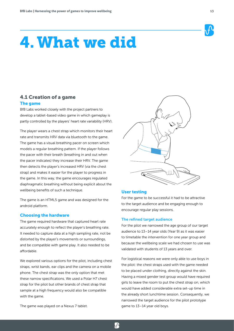# 4.What we did

# 4.1 Creation of a game The game

BfB Labs worked closely with the project partners to develop a tablet-based video game in which gameplay is partly controlled by the players' heart rate variability (HRV).

The player wears a chest strap which monitors their heart rate and transmits HRV data via bluetooth to the game. The game has a visual breathing pacer on screen which models a regular breathing pattern. If the player follows the pacer with their breath (breathing in and out when the pacer indicates) they increase their HRV. The game then detects the player's increased HRV (via the chest strap) and makes it easier for the player to progress in the game. In this way, the game encourages regulated diaphragmatic breathing without being explicit about the wellbeing benefits of such a technique.

The game is an HTML5 game and was designed for the android platform.

#### Choosing the hardware

The game required hardware that captured heart rate accurately enough to reflect the player's breathing rate. It needed to capture data at a high sampling rate, not be distorted by the player's movements or surroundings, and be compatible with game play. It also needed to be affordable.

We explored various options for the pilot, including chest straps, wrist bands, ear clips and the camera on a mobile phone. The chest strap was the only option that met these narrow specifications. We used a Polar H7 chest strap for the pilot but other brands of chest strap that sample at a high frequency would also be compatible with the game.

The game was played on a Nexus 7 tablet.



#### User testing

For the game to be successful it had to be attractive to the target audience and be engaging enough to encourage regular play sessions.

#### The refined target audience

For the pilot we narrowed the age group of our target audience to 13–14 year olds (Year 9) as it was easier to timetable the intervention for one year group and because the wellbeing scale we had chosen to use was validated with students of 13 years and over.

For logistical reasons we were only able to use boys in the pilot: the chest straps used with the game needed to be placed under clothing, directly against the skin. Having a mixed gender test group would have required girls to leave the room to put the chest strap on, which would have added considerable extra set-up time in the already short lunchtime session. Consequently, we narrowed the target audience for the pilot prototype game to 13–14 year old boys.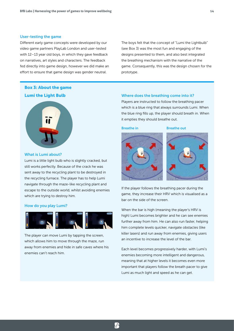#### User-testing the game

Different early game concepts were developed by our video game partners PlayLab London and user-tested with 12–13 year old boys, in which they gave feedback on narratives, art styles and characters. The feedback fed directly into game design, however we did make an effort to ensure that game design was gender neutral.

The boys felt that the concept of "Lumi the Lightbulb" (see Box 3) was the most fun and engaging of the designs presented to them, and also best integrated the breathing mechanism with the narrative of the game. Consequently, this was the design chosen for the prototype.

# Box 3: About the game Lumi the Light Bulb



#### What is Lumi about?

Lumi is a little light bulb who is slightly cracked, but still works perfectly. Because of the crack he was sent away to the recycling plant to be destroyed in the recycling furnace. The player has to help Lumi navigate through the maze-like recycling plant and escape to the outside world, whilst avoiding enemies which are trying to destroy him.

#### How do you play Lumi?



The player can move Lumi by tapping the screen, which allows him to move through the maze, run away from enemies and hide in safe caves where his enemies can't reach him.

#### Where does the breathing come into it?

Players are instructed to follow the breathing pacer which is a blue ring that always surrounds Lumi. When the blue ring fills up, the player should breath in. When it empties they should breathe out.

 $\mathbf{R}$ 

#### **Breathe in Breathe out**





If the player follows the breathing pacer during the game, they increase their HRV which is visualised as a bar on the side of the screen.

When the bar is high (meaning the player's HRV is high) Lumi becomes brighter and he can see enemies further away from him. He can also run faster, helping him complete levels quicker, navigate obstacles (like killer lasers) and run away from enemies, giving users an incentive to increase the level of the bar.

Each level becomes progressively harder, with Lumi's enemies becoming more intelligent and dangerous, meaning that at higher levels it becomes even more important that players follow the breath pacer to give Lumi as much light and speed as he can get.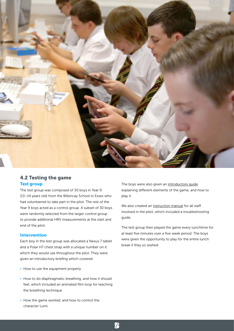

# 4.2 Testing the game Test group

The test group was composed of 30 boys in Year 9 (13–14 years old) from the Billericay School in Essex who had volunteered to take part in the pilot. The rest of the Year 9 boys acted as a control group. A subset of 30 boys were randomly selected from the larger control group to provide additional HRV measurements at the start and end of the pilot.

#### Intervention

Each boy in the test group was allocated a Nexus 7 tablet and a Polar H7 chest strap with a unique number on it which they would use throughout the pilot. They were given an introductory briefing which covered:

- How to use the equipment properly
- How to do diaphragmatic breathing, and how it should feel, which included an animated film loop for teaching the breathing technique
- How the game worked, and how to control the character Lumi.

The boys were also given an introductory quide explaining different elements of the game, and how to play it.

We also created an [instruction manual](http://cl.ly/3t0j1c0f2T1Y) for all staff involved in the pilot, which included a troubleshooting guide.

The test group then played the game every lunchtime for at least five minutes over a five week period. The boys were given the opportunity to play for the entire lunch break if they so wished.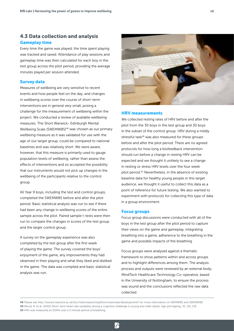# 4.3 Data collection and analysis Gameplay time

Every time the game was played, the time spent playing was tracked and saved. Attendance of play sessions and gameplay time was then calculated for each boy in the test group across the pilot period, providing the average minutes played per session attended.

#### Survey data

Measures of wellbeing are very sensitive to recent events and how people feel on the day, and changes in wellbeing scores over the course of short-term interventions are in general very small, posing a challenge for the measurement of wellbeing within the project. We conducted a review of available wellbeing measures. The Short Warwick- Edinburgh Mental Wellbeing Scale (SWEMWBS)48 was chosen as our primary wellbeing measure as it was validated for use with the age of our target group, could be compared to national baselines and was relatively short. We were aware, however, that this measure is primarily used to gauge population levels of wellbeing, rather than assess the effects of interventions and so accepted the possibility that our instruments would not pick up changes in the wellbeing of the participants relative to the control group.

All Year 9 boys, including the test and control groups, completed the SWEMWBS before and after the pilot period. Basic statistical analysis was run to see if there had been any change in wellbeing scores of the entire sample across the pilot. Paired sample t-tests were then run to compare the changes in scores of the test group and the larger control group.

A survey on the gameplay experience was also completed by the test group after the first week of playing the game. The survey covered the boys' enjoyment of the game, any improvements they had observed in their playing and what they liked and disliked in the game. The data was compiled and basic statistical analysis was run.



#### HRV measurements

We collected resting rates of HRV before and after the pilot from the 30 boys in the test group and 30 boys in the subset of the control group. HRV during a mildly stressful task<sup>49</sup> was also measured for these groups before and after the pilot period. There are no agreed protocols for how long a biofeedback intervention should run before a change in resting HRV can be expected and we thought it unlikely to see a change in resting or stress HRV levels over the four week pilot period.50 Nevertheless, in the absence of existing baseline data for healthy young people in this target audience, we thought it useful to collect this data as a point of reference for future testing. We also wanted to experiment with protocols for collecting this type of data in a group environment.

#### Focus groups

Focus group discussions were conducted with all of the boys in the test group after the pilot period to capture their views on the game and gameplay, integrating breathing into a game, adherence to the breathing in the game and possible impacts of the breathing.

Focus groups were analysed against a thematic framework to show patterns within and across groups and to highlight differences among them. The analysis process and outputs were reviewed by an external body, MindTech Healthcare Technology Co-operative, based in the University of Nottingham, to ensure the process was sound and the conclusions reflected the raw data collected.

<sup>48</sup> Please see http://www2.warwick.ac.uk/fac/med/research/platform/wemwbs/development/ for more information on WEMWBS and SWEMWBS 49 Wood, R. et al. (2002) Short-term heart rate variability during a cognitive challenge in young and older adults. Age and Ageing, 31, 131-135. 50 HRV was measured as SDNN over a 5 minute period of breathing.

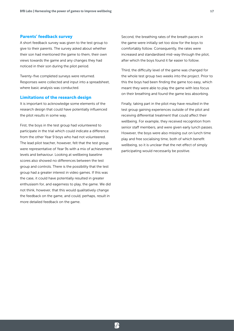#### Parents' feedback survey

A short feedback survey was given to the test group to give to their parents. The survey asked about whether their son had mentioned the game to them, their own views towards the game and any changes they had noticed in their son during the pilot period.

Twenty-five completed surveys were returned. Responses were collected and input into a spreadsheet, where basic analysis was conducted.

#### Limitations of the research design

It is important to acknowledge some elements of the research design that could have potentially influenced the pilot results in some way.

First, the boys in the test group had volunteered to participate in the trial which could indicate a difference from the other Year 9 boys who had not volunteered. The lead pilot teacher, however, felt that the test group were representative of Year 9s with a mix of achievement levels and behaviour. Looking at wellbeing baseline scores also showed no differences between the test group and controls. There is the possibility that the test group had a greater interest in video games. If this was the case, it could have potentially resulted in greater enthusiasm for, and eagerness to play, the game. We did not think, however, that this would qualitatively change the feedback on the game, and could, perhaps, result in more detailed feedback on the game.

Second, the breathing rates of the breath pacers in the game were initially set too slow for the boys to comfortably follow. Consequently, the rates were increased and standardised mid-way through the pilot, after which the boys found it far easier to follow.

Third, the difficulty level of the game was changed for the whole test group two weeks into the project. Prior to this the boys had been finding the game too easy, which meant they were able to play the game with less focus on their breathing and found the game less absorbing.

Finally, taking part in the pilot may have resulted in the test group gaining experiences outside of the pilot and receiving differential treatment that could affect their wellbeing. For example, they received recognition from senior staff members, and were given early lunch passes. However, the boys were also missing out on lunch time play and free socialising time, both of which benefit wellbeing, so it is unclear that the net effect of simply participating would necessarily be positive.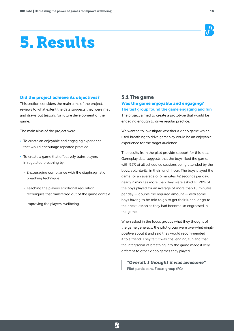# 5. Results



#### Did the project achieve its objectives?

This section considers the main aims of the project, reviews to what extent the data suggests they were met, and draws out lessons for future development of the game.

The main aims of the project were:

- To create an enjoyable and engaging experience that would encourage repeated practice
- To create a game that effectively trains players in regulated breathing by:
	- Encouraging compliance with the diaphragmatic breathing technique
	- Teaching the players emotional regulation techniques that transferred out of the game context
	- Improving the players' wellbeing.

# 5.1 The game Was the game enjoyable and engaging?

The test group found the game engaging and fun The project aimed to create a prototype that would be engaging enough to drive regular practice.

We wanted to investigate whether a video game which used breathing to drive gameplay could be an enjoyable experience for the target audience.

The results from the pilot provide support for this idea. Gameplay data suggests that the boys liked the game, with 95% of all scheduled sessions being attended by the boys, voluntarily, in their lunch hour. The boys played the game for an average of 6 minutes 42 seconds per day, nearly 2 minutes more than they were asked to. 20% of the boys played for an average of more than 10 minutes per day  $-$  double the required amount  $-$  with some boys having to be told to go to get their lunch, or go to their next lesson as they had become so engrossed in the game.

When asked in the focus groups what they thought of the game generally, the pilot group were overwhelmingly positive about it and said they would recommended it to a friend. They felt it was challenging, fun and that the integration of breathing into the game made it very different to other video games they played.

*"Overall, I thought it was awesome"* Pilot participant, Focus group (FG)

 $\mathbf{R}$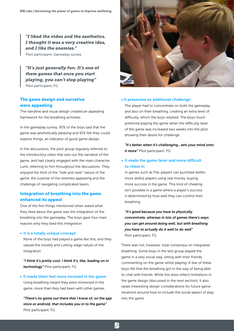*"I liked the video and the aesthetics. I thought it was a very creative idea, and I like the enemies."*

Pilot participant, Gameplay survey

*"It's just generally fun. It's one of them games that once you start playing, you can't stop playing"* Pilot participant, FG

# The game design and narrative were appealing

The narrative and visual design created an appealing framework for the breathing activities.

In the gameplay survey, 95% of the boys said that the game was aesthetically pleasing and 91% felt they could explore things, an indicator of good game design.

In the discussions, the pilot group regularly referred to the introductory video that sets out the narrative of the game, and had clearly engaged with the main character, Lumi, referring to him throughout the discussions. They enjoyed the thrill of the "hide and seek" nature of the game, the surprise of the enemies appearing and the challenge of navigating complicated lasers.

### Integration of breathing into the game enhanced its appeal

One of the first things mentioned when asked what they liked about the game was the integration of the breathing into the gameplay. The boys gave four main reasons why they liked this integration:

#### • It is a totally unique concept:

None of the boys had played a game like this, and they valued the novelty and cutting-edge nature of the integration.

*"I think it's pretty cool. I think it's, like, leading on in technology"* Pilot participant, FG

#### • It made them feel more involved in the game:

Using breathing meant they were immersed in the game, more than they had been with other games.

*"There's no game out there that I know of, on the app store or android, that includes you in to the game"* Pilot participant, FG



#### • It presented an additional challenge:

The player had to concentrate on both the gameplay and also on their breathing, creating an extra level of difficulty, which the boys relished. The boys much preferred playing the game when the difficulty level of the game was increased two weeks into the pilot, showing their desire for challenge.

*"It's better when it's challenging...sets your mind onto it more"* Pilot participant, FG

### • It made the game fairer and more difficult to cheat in:

In games such as Fifa, players can purchase better, more skillful players using real money, buying more success in the game. This kind of cheating isn't possible in a game where a player's success is determined by how well they can control their breathing.

*"It's good because you have to physically concentrate, whereas in lots of games there's ways you can get around doing well, but with breathing you have to actually do it well to do well"* Pilot participant, FG

There was not, however, total consensus on integrated breathing. Some boys in the test group played the game in a very social way, sitting with their friends, commenting on the game whilst playing. A few of these boys felt that the breathing got in the way of being able to chat with friends. While this does reflect limitations in the game design (discussed in the next section), it also raises interesting design considerations for future game iterations around how to include the social aspect of play into the game.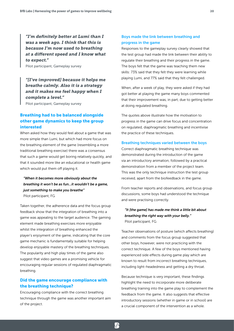*"I'm definitely better at Lumi than I was a week ago. I think that this is because I'm now used to breathing at a different speed and I know what to expect."*

Pilot participant, Gameplay survey

*"[I've improved] because it helps me breathe calmly. Also it is a strategy and it makes me feel happy when I complete a level."*

Pilot participant, Gameplay survey

# Breathing had to be balanced alongside other game dynamics to keep the group interested

When asked how they would feel about a game that was more simple than Lumi, but which had more focus on the breathing element of the game (resembling a more traditional breathing exercise) there was a consensus that such a game would get boring relatively quickly, and that it sounded more like an educational or health game which would put them off playing it.

# *"When it becomes more obviously about the breathing it won't be as fun...it wouldn't be a game, just something to make you breathe"*

Pilot participant, FG

Taken together, the adherence data and the focus group feedback show that the integration of breathing into a game was appealing to the target audience. The gaming element made breathing exercises more enjoyable whilst the integration of breathing enhanced the player's enjoyment of the game, indicating that the core game mechanic is fundamentally suitable for helping develop enjoyable mastery of the breathing techniques. The popularity and high play times of the game also suggest that video games are a promising vehicle for encouraging regular sessions of regulated diaphragmatic breathing.

# Did the game encourage compliance with the breathing technique?

Encouraging compliance with the correct breathing technique through the game was another important aim of the project.

## Boys made the link between breathing and progress in the game

Responses to the gameplay survey clearly showed that the test group had made the link between their ability to regulate their breathing and their progress in the game. The boys felt that the game was teaching them new skills: 73% said that they felt they were learning while playing Lumi, and 77% said that they felt challenged.

When, after a week of play, they were asked if they had got better at playing the game many boys commented that their improvement was, in part, due to getting better at doing regulated breathing.

The quotes above illustrate how the motivation to progress in the game can drive focus and concentration on regulated, diaphragmatic breathing and incentivise the practice of these techniques.

#### Breathing techniques varied between the boys

Correct diaphragmatic breathing technique was demonstrated during the introduction of the game via an introductory animation, followed by a practical demonstration from a member of the project team. This was the only technique instruction the test group received, apart from the biofeedback in the game.

From teacher reports and observations, and focus group discussions, some boys had understood the technique and were practising correctly.

# *"It [the game] has made me think a little bit about breathing the right way with your belly."* Pilot participant, FG

Teacher observations of posture (which affects breathing) and comments from the focus group suggested that other boys, however, were not practicing with the correct technique. A few of the boys mentioned having experienced side effects during game play which are known to result from incorrect breathing techniques, including light-headedness and getting a dry throat.

Because technique is very important, these findings highlight the need to incorporate more deliberate breathing training into the game play to complement the feedback from the game. It also suggests that effective introductory sessions (whether in game or in school) are a crucial component of the intervention as a whole.

 $\mathcal{P}$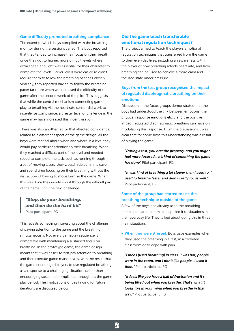#### Game difficulty promoted breathing compliance

The extent to which boys complied with the breathing monitor during the sessions varied. The boys reported that they tended to increase their focus on their breath once they got to higher, more difficult levels where extra speed and light was essential for their character to complete the levels. Earlier levels were easier so didn't require them to follow the breathing pacer as closely. Similarly, they reported having to follow the breathing pacer far more when we increased the difficulty of the game after the second week of the pilot. This suggests that while the central mechanism connecting game play to breathing via the heart rate sensor did work to incentivise compliance, a greater level of challenge in the game may have increased this incentivisation.

There was also another factor that affected compliance, related to a different aspect of the game design. All the boys were tactical about when and where in a level they would pay particular attention to their breathing. When they reached a difficult part of the level and needed speed to complete the task, such as running through a set of moving lasers, they would hide Lumi in a cave and spend time focusing on their breathing without the distraction of having to move Lumi in the game. When this was done they would sprint through the difficult part of the game, until the next challenge.

# *"Stop, do your breathing, and then do the hard bit"* Pilot participant, FG

This reveals something interesting about the challenge of paying attention to the game and the breathing simultaneously. Not every gameplay sequence is compatible with maintaining a sustained focus on breathing. In the prototype game, the game design meant that it was easier to first pay attention to breathing and then execute game manoeuvres, with the result that the game encouraged players to use regulated breathing as a response to a challenging situation, rather than encouraging sustained compliance throughout the game play period. The implications of this finding for future iterations are discussed below.

### Did the game teach transferable emotional regulation techniques?

The project aimed to teach the players emotional regulation techniques that transferred from the game to their everyday lives, including an awareness within the player of how breathing affects heart rate, and how breathing can be used to achieve a more calm and focused state under pressure.

# Boys from the test group recognised the impact of regulated diaphragmatic breathing on their emotions

Discussion in the focus groups demonstrated that the boys had understood the link between emotions, the physical response emotions elicit, and the positive impact regulated diaphragmatic breathing can have on modulating this response. From the discussions it was clear that for some boys this understanding was a result of playing the game.

*"During a test, you breathe properly, and you might feel more focused... it's kind of something the game has done"* Pilot participant, FG

*"It was kind of breathing a lot slower than I used to. I used to breathe faster and didn't really focus well."* Pilot participant, FG

## Some of the group had started to use the breathing technique outside of the game

A few of the boys had already used the breathing technique learnt in Lumi and applied it to situations in their everyday life. They talked about doing this in three main situations:

• When they were stressed: Boys gave examples when they used the breathing in a test, in a crowded classroom or to cope with pain.

*"Once I [used breathing] in class...I was hot, people were in the room, and I don't like people...I used it then."* Pilot participant, FG

*"it feels like you have a ball of frustration and it's being lifted out when you breathe. That's what it looks like in your mind when you breathe in that way."* Pilot participant, FG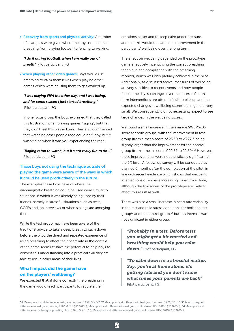• Recovery from sports and physical activity: A number of examples were given where the boys noticed their breathing from playing football to fencing to walking.

*"I do it during football, when I am really out of breath"* Pilot participant, FG

• When playing other video games: Boys would use breathing to calm themselves when playing other games which were causing them to get worked up.

### *"I was playing FIFA the other day, and I was losing, and for some reason I just started breathing."* Pilot participant, FG

In one focus group the boys explained that they called this frustration when playing games "raging", but that they didn't feel this way in Lumi. They also commented that watching other people rage could be funny, but it wasn't nice when it was you experiencing the rage.

*"Raging is fun to watch, but it's not really fun to do..."* Pilot participant, FG

# Those boys not using the technique outside of playing the game were aware of the ways in which it could be used productively in the future.

The examples these boys gave of where the diaphragmatic breathing could be used were similar to situations in which it was already being used by their friends, namely in stressful situations such as tests, GCSEs and job interviews or when siblings are annoying them.

While the test group may have been aware of the traditional advice to take a deep breath to calm down before the pilot, the direct and repeated experience of using breathing to affect their heart rate in the context of the game seems to have the potential to help boys to convert this understanding into a practical skill they are able to use in other areas of their lives.

# What impact did the game have on the players' wellbeing?

We expected that, if done correctly, the breathing in the game would teach participants to regulate their

emotions better and to keep calm under pressure, and that this would to lead to an improvement in the participants' wellbeing over the long term.

The effect on wellbeing depended on the prototype game effectively incentivising the correct breathing technique and compliance with the breathing monitor, which was only partially achieved in the pilot. Additionally, as discussed above, measures of wellbeing are very sensitive to recent events and how people feel on the day, so changes over the course of short term interventions are often difficult to pick up and the expected changes in wellbeing scores are in general very small. We consequently did not necessarily expect to see large changes in the wellbeing scores.

We found a small increase in the average SWEMWBS score for both groups, with the improvement in test group (from a mean score of 23.50 to  $23.77$ )<sup>51</sup> being slightly larger than the improvement for the control group (from a mean score of 22.37 to 22.59).52 However, these improvements were not statistically significant at the 5% level. A follow-up survey will be conducted as planned 6 months after the completion of the pilot, in line with recent evidence which shows that wellbeing interventions often have increasing impact over time, although the limitations of the prototype are likely to affect this result as well.

There was also a small increase in heart rate variability in the rest and mild stress conditions for both the test group<sup>53</sup> and the control group,<sup>54</sup> but this increase was not significant in either group.

*"Probably in a test. Before tests you might get a bit worried and breathing would help you calm down."* Pilot participant, FG

*"To calm down in a stressful matter. Say, you're at home alone, it's getting late and you don't know what times your parents are back"* Pilot participant, FG

<sup>51</sup> Mean pre-post difference in test group scores: 0.272; SD: 5.2 52 Mean pre-post difference in test group scores: 0.221; SD: 3.5 53 Mean pre-post difference in test group resting HRV: 0.018 (SD 0.086); Mean pre-post difference in test group mild stress HRV: 0.008 (SD 0.050); 54 Mean pre-post difference in control group resting HRV: 0.091 (SD 0.375); Mean pre-post difference in test group mild stress HRV: 0.002 (SD 0.016);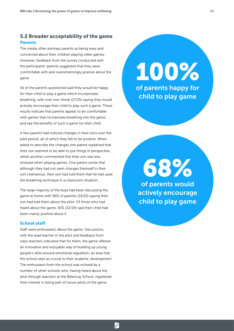# 5.2 Broader acceptability of the game Parents

The media often portrays parents as being wary and concerned about their children playing video games. However, feedback from the survey conducted with the participants' parents suggested that they were comfortable with and overwhelmingly positive about the game.

All of the parents questioned said they would be happy for their child to play a game which incorporates breathing, with over two-thirds (17/25) saying they would actively encourage their child to play such a game. These results indicate that parents appear to be comfortable with games that incorporate breathing into the game, and see the benefits of such a game for their child.

A few parents had noticed changes in their sons over the pilot period, all of which they felt to be positive. When asked to describe the changes one parent explained that their son seemed to be able to put things in perspective, whilst another commented that their son was less stressed when playing games. One parent wrote that although they had not seen changes themself in their son's behaviour, their son had told them that he had used the breathing technique in a classroom situation.

The large majority of the boys had been discussing the game at home with 96% of parents (24/25) saying their son had told them about the pilot. Of those who had heard about the game, 92% (22/24) said their child had been mainly positive about it.

#### School staff

Staff were enthusiastic about the game. Discussions with the lead teacher in the pilot and feedback from class teachers indicated that for them, the game offered an innovative and enjoyable way of building up young people's skills around emotional regulation, an area that the school sees as crucial to their students' development. The enthusiasm from the school was echoed by a number of other schools who, having heard about the pilot through teachers at the Billericay School, registered their interest in being part of future pilots of the game.

 $\mathbf{R}$ 

100% of parents happy for child to play game

of parents would 68%

actively encourage child to play game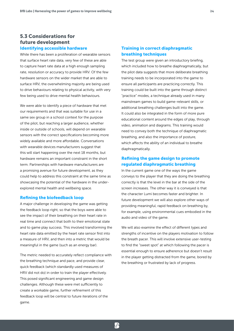# 5.3 Considerations for future development Identifying accessible hardware

While there has been a proliferation of wearable sensors that surface heart rate data, very few of these are able to capture heart rate data at a high enough sampling rate, resolution or accuracy to provide HRV. Of the few hardware sensors on the wider market that are able to surface HRV, the overwhelming majority are being used to drive behaviours relating to physical activity, with very few being used to drive mental health behaviours.

We were able to identify a piece of hardware that met our requirements and that was suitable for use in a same sex group in a school context for the purpose of the pilot, but reaching a larger audience, whether inside or outside of schools, will depend on wearable sensors with the correct specifications becoming more widely available and more affordable. Conversations with wearable devices manufacturers suggest that this will start happening over the next 18 months, but hardware remains an important constraint in the short term. Partnerships with hardware manufacturers are a promising avenue for future development, as they could help to address this constraint at the same time as showcasing the potential of the hardware in the underexplored mental health and wellbeing space.

#### Refining the biofeedback loop

A major challenge in developing the game was getting the feedback loop right, so that the boys were able to see the impact of their breathing on their heart rate in real time and connect that both to their emotional state and to game play success. This involved transforming the heart rate data emitted by the heart rate sensor first into a measure of HRV, and then into a metric that would be meaningful in the game (such as an energy bar).

The metric needed to accurately reflect compliance with the breathing technique and pace, and provide clear, quick feedback (which standardly used measures of HRV did not do) in order to train the player effectively. This posed significant engineering and game design challenges. Although these were met sufficiently to create a workable game, further refinement of this feedback loop will be central to future iterations of the game.

 $\mathcal{P}$ 

### Training in correct diaphragmatic breathing techniques

The test group were given an introductory briefing, which included how to breathe diaphragmatically, but the pilot data suggests that more deliberate breathing training needs to be incorporated into the game to ensure all participants are practicing correctly. This training could be built into the game through distinct "practice" modes, a technique already used in many mainstream games to build game-relevant skills, or additional breathing challenges built into the game. It could also be integrated in the form of more pure educational content around the edges of play, through video, animation and diagrams. This training would need to convey both the technique of diaphragmatic breathing, and also the importance of posture, which affects the ability of an individual to breathe diaphragmatically.

# Refining the game design to promote regulated diaphragmatic breathing

In the current game one of the ways the game conveys to the player that they are doing the breathing correctly is that the level in the bar at the side of the screen increases. The other way it is conveyed is that the character Lumi becomes faster and brighter. In future development we will also explore other ways of providing meaningful, rapid feedback on breathing by, for example, using environmental cues embodied in the audio and video of the game.

We will also examine the effect of different types and strengths of incentive on the players motivation to follow the breath pacer. This will involve extensive user-testing to find the "sweet spot" at which following the pacer is essential enough to ensure adherence but doesn't result in the player getting distracted from the game, bored by the breathing or frustrated by lack of progress.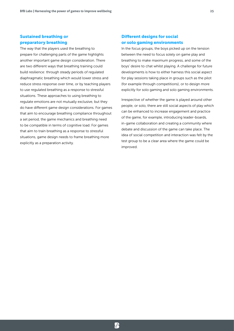## Sustained breathing or preparatory breathing

The way that the players used the breathing to prepare for challenging parts of the game highlights another important game design consideration. There are two different ways that breathing training could build resilience: through steady periods of regulated diaphragmatic breathing which would lower stress and reduce stress response over time, or by teaching players to use regulated breathing as a response to stressful situations. These approaches to using breathing to regulate emotions are not mutually exclusive, but they do have different game design considerations. For games that aim to encourage breathing compliance throughout a set period, the game mechanics and breathing need to be compatible in terms of cognitive load. For games that aim to train breathing as a response to stressful situations, game design needs to frame breathing more explicitly as a preparation activity.

# Different designs for social or solo gaming environments

In the focus groups, the boys picked up on the tension between the need to focus solely on game play and breathing to make maximum progress, and some of the boys' desire to chat whilst playing. A challenge for future developments is how to either harness this social aspect for play sessions taking place in groups such as the pilot (for example through competitions), or to design more explicitly for solo gaming and solo gaming environments.

Irrespective of whether the game is played around other people, or solo, there are still social aspects of play which can be enhanced to increase engagement and practice of the game, for example, introducing leader-boards, in-game collaboration and creating a community where debate and discussion of the game can take place. The idea of social competition and interaction was felt by the test group to be a clear area where the game could be improved.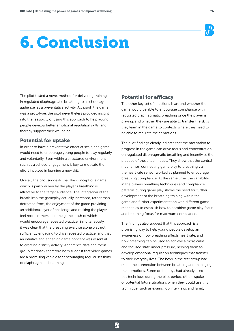

# 6. Conclusion

The pilot tested a novel method for delivering training in regulated diaphragmatic breathing to a school age audience, as a preventative activity. Although the game was a prototype, the pilot nevertheless provided insight into the feasibility of using this approach to help young people develop better emotional regulation skills, and thereby support their wellbeing.

# Potential for uptake

In order to have a preventative effect at scale, the game would need to encourage young people to play regularly and voluntarily. Even within a structured environment such as a school, engagement is key to motivate the effort involved in learning a new skill.

Overall, the pilot suggests that the concept of a game which is partly driven by the player's breathing is attractive to the target audience. The integration of the breath into the gameplay actually increased, rather than detracted from, the enjoyment of the game providing an additional layer of challenge and making the player feel more immersed in the game, both of which would encourage repeated practice. Simultaneously, it was clear that the breathing exercise alone was not sufficiently engaging to drive repeated practice, and that an intuitive and engaging game concept was essential to creating a sticky activity. Adherence data and focus group feedback therefore both suggest that video games are a promising vehicle for encouraging regular sessions of diaphragmatic breathing.

# Potential for efficacy

The other key set of questions is around whether the game would be able to encourage compliance with regulated diaphragmatic breathing once the player is playing, and whether they are able to transfer the skills they learn in the game to contexts where they need to be able to regulate their emotions.

The pilot findings clearly indicate that the motivation to progress in the game can drive focus and concentration on regulated diaphragmatic breathing and incentivise the practice of these techniques. They show that the central mechanism connecting game play to breathing via the heart rate sensor worked as planned to encourage breathing compliance. At the same time, the variability in the players breathing techniques and compliance patterns during game play shows the need for further development of the breathing training within the game and further experimentation with different game mechanics to establish how to combine game play focus and breathing focus for maximum compliance.

The findings also suggest that this approach is a promising way to help young people develop an awareness of how breathing affects heart rate, and how breathing can be used to achieve a more calm and focused state under pressure, helping them to develop emotional regulation techniques that transfer to their everyday lives. The boys in the test group had made the connection between breathing and managing their emotions. Some of the boys had already used this technique during the pilot period, others spoke of potential future situations when they could use this technique, such as exams, job interviews and family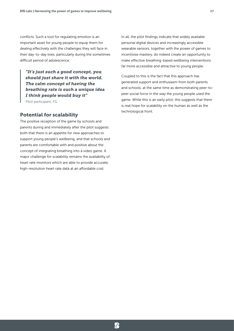conflicts. Such a tool for regulating emotion is an important asset for young people to equip them for dealing effectively with the challenges they will face in their day-to-day lives, particularly during the sometimes difficult period of adolescence.

*"It's just such a good concept, you should just share it with the world. The calm concept of having the breathing rate is such a unique idea I think people would buy it"* Pilot participant, FG

# Potential for scalability

The positive reception of the game by schools and parents during and immediately after the pilot suggests both that there is an appetite for new approaches to support young people's wellbeing, and that schools and parents are comfortable with and positive about the concept of integrating breathing into a video game. A major challenge for scalability remains the availability of heart rate monitors which are able to provide accurate, high-resolution heart rate data at an affordable cost.

In all, the pilot findings indicate that widely available personal digital devices and increasingly accessible wearable sensors, together with the power of games to incentivise mastery, do indeed create an opportunity to make effective breathing-based wellbeing interventions far more accessible and attractive to young people.

Coupled to this is the fact that this approach has generated support and enthusiasm from both parents and schools, at the same time as demonstrating peer-topeer social force in the way the young people used the game. While this is an early pilot, this suggests that there is real hope for scalability on the human as well as the technological front.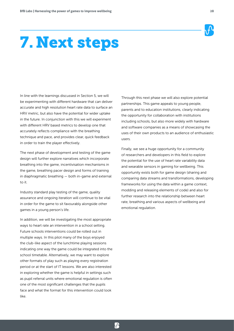

# 7. Next steps

In line with the learnings discussed in Section 5, we will be experimenting with different hardware that can deliver accurate and high resolution heart rate data to surface an HRV metric, but also have the potential for wider uptake in the future. In conjunction with this we will experiment with different HRV based metrics to develop one that accurately reflects compliance with the breathing technique and pace, and provides clear, quick feedback in order to train the player effectively.

The next phase of development and testing of the game design will further explore narratives which incorporate breathing into the game, incentivisation mechanisms in the game, breathing pacer design and forms of training in diaphragmatic breathing — both in-game and external to it.

Industry standard play testing of the game, quality assurance and ongoing iteration will continue to be vital in order for the game to sit favourably alongside other games in a young person's life.

In addition, we will be investigating the most appropriate ways to heart rate an intervention in a school setting. Future schools interventions could be rolled out in multiple ways. In this pilot many of the boys enjoyed the club-like aspect of the lunchtime playing sessions indicating one way the game could be integrated into the school timetable. Alternatively, we may want to explore other formats of play such as playing every registration period or at the start of IT lessons. We are also interested in exploring whether the game is helpful in settings such as pupil referral units where emotional regulation is often one of the most significant challenges that the pupils face and what the format for this intervention could look like.

Through this next phase we will also explore potential partnerships. This game appeals to young people, parents and to education institutions, clearly indicating the opportunity for collaboration with institutions including schools, but also more widely with hardware and software companies as a means of showcasing the uses of their own products to an audience of enthusiastic users.

Finally, we see a huge opportunity for a community of researchers and developers in this field to explore the potential for the use of heart rate variability data and wearable sensors in gaming for wellbeing. This opportunity exists both for game design (sharing and comparing data streams and transformations, developing frameworks for using the data within a game context, modding and releasing elements of code) and also for further research into the relationship between heart rate, breathing and various aspects of wellbeing and emotional regulation.